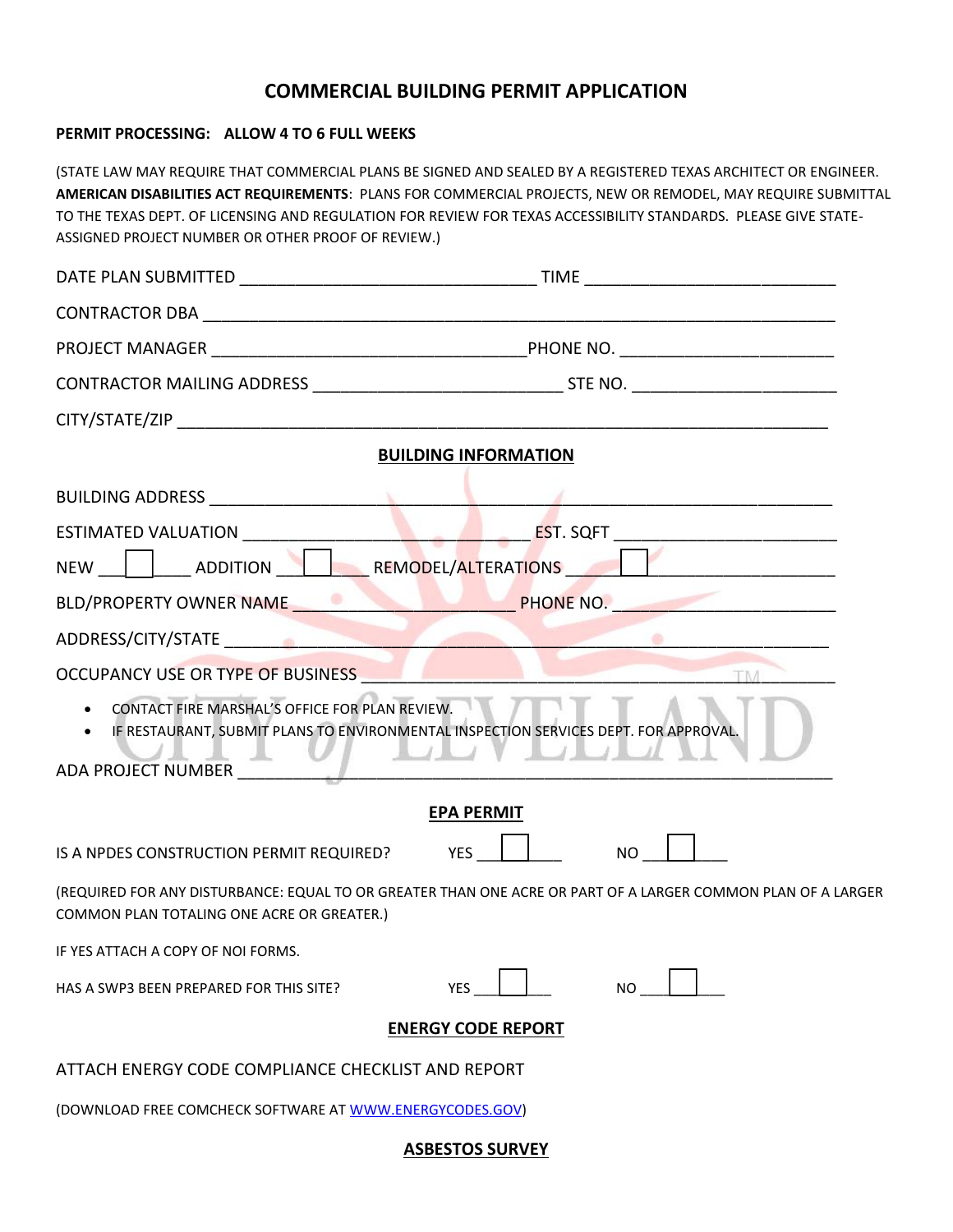## **COMMERCIAL BUILDING PERMIT APPLICATION**

## **PERMIT PROCESSING: ALLOW 4 TO 6 FULL WEEKS**

(STATE LAW MAY REQUIRE THAT COMMERCIAL PLANS BE SIGNED AND SEALED BY A REGISTERED TEXAS ARCHITECT OR ENGINEER. **AMERICAN DISABILITIES ACT REQUIREMENTS**: PLANS FOR COMMERCIAL PROJECTS, NEW OR REMODEL, MAY REQUIRE SUBMITTAL TO THE TEXAS DEPT. OF LICENSING AND REGULATION FOR REVIEW FOR TEXAS ACCESSIBILITY STANDARDS. PLEASE GIVE STATE-ASSIGNED PROJECT NUMBER OR OTHER PROOF OF REVIEW.)

| <b>BUILDING INFORMATION</b>                              |                                                                                                              |  |  |  |
|----------------------------------------------------------|--------------------------------------------------------------------------------------------------------------|--|--|--|
|                                                          |                                                                                                              |  |  |  |
|                                                          |                                                                                                              |  |  |  |
| NEW ADDITION REMODEL/ALTERATIONS                         |                                                                                                              |  |  |  |
|                                                          | BLD/PROPERTY OWNER NAME PHONE NO.                                                                            |  |  |  |
| ADDRESS/CITY/STATE ADDRESS/CITY/STATE                    |                                                                                                              |  |  |  |
| OCCUPANCY USE OR TYPE OF BUSINESS                        |                                                                                                              |  |  |  |
| • CONTACT FIRE MARSHAL'S OFFICE FOR PLAN REVIEW.         | • IF RESTAURANT, SUBMIT PLANS TO ENVIRONMENTAL INSPECTION SERVICES DEPT. FOR APPROVAL.                       |  |  |  |
| ADA PROJECT NUMBER                                       |                                                                                                              |  |  |  |
| <b>EPA PERMIT</b>                                        |                                                                                                              |  |  |  |
| IS A NPDES CONSTRUCTION PERMIT REQUIRED? YES             | <b>NO</b>                                                                                                    |  |  |  |
| COMMON PLAN TOTALING ONE ACRE OR GREATER.)               | (REQUIRED FOR ANY DISTURBANCE: EQUAL TO OR GREATER THAN ONE ACRE OR PART OF A LARGER COMMON PLAN OF A LARGER |  |  |  |
| IF YES ATTACH A COPY OF NOI FORMS.                       |                                                                                                              |  |  |  |
| HAS A SWP3 BEEN PREPARED FOR THIS SITE?                  | <b>YES</b><br><b>NO</b>                                                                                      |  |  |  |
| <b>ENERGY CODE REPORT</b>                                |                                                                                                              |  |  |  |
| ATTACH ENERGY CODE COMPLIANCE CHECKLIST AND REPORT       |                                                                                                              |  |  |  |
| (DOWNLOAD FREE COMCHECK SOFTWARE AT WWW.ENERGYCODES.GOV) |                                                                                                              |  |  |  |

**ASBESTOS SURVEY**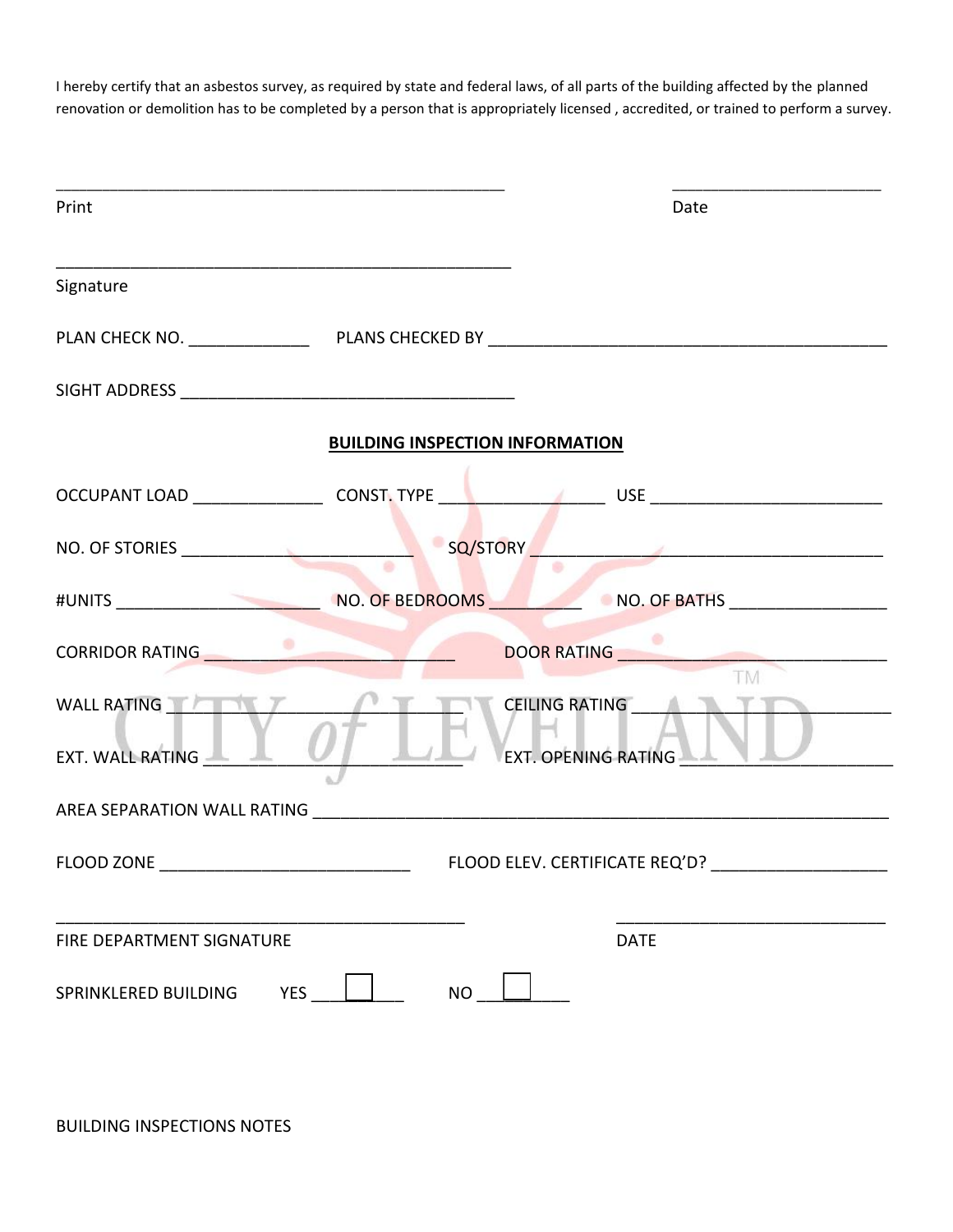I hereby certify that an asbestos survey, as required by state and federal laws, of all parts of the building affected by the planned renovation or demolition has to be completed by a person that is appropriately licensed , accredited, or trained to perform a survey.

| Print                                                                                                                | Date                                                                                                            |
|----------------------------------------------------------------------------------------------------------------------|-----------------------------------------------------------------------------------------------------------------|
| Signature                                                                                                            |                                                                                                                 |
|                                                                                                                      |                                                                                                                 |
|                                                                                                                      |                                                                                                                 |
| <b>BUILDING INSPECTION INFORMATION</b>                                                                               |                                                                                                                 |
|                                                                                                                      |                                                                                                                 |
| NO. OF STORIES                                                                                                       |                                                                                                                 |
| #UNITS NO. OF BEDROOMS NO. OF BATHS                                                                                  |                                                                                                                 |
| CORRIDOR RATING <b>AND RELEASE OF A STATE OF A STATE OF A STATE OF A STATE OF A STATE OF A STATE OF A STATE OF A</b> | DOOR RATING <b>DOOR RATING</b><br><b>TM</b>                                                                     |
|                                                                                                                      | CEILING RATING AND THE TABLE TO BE A RESERVED ON A RESERVED OF THE TABLE OF THE TABLE OF THE TABLE OF THE TABLE |
|                                                                                                                      |                                                                                                                 |
|                                                                                                                      |                                                                                                                 |
| FIRE DEPARTMENT SIGNATURE                                                                                            | <b>DATE</b>                                                                                                     |
| <b>YES</b><br><b>NO</b><br>SPRINKLERED BUILDING                                                                      |                                                                                                                 |